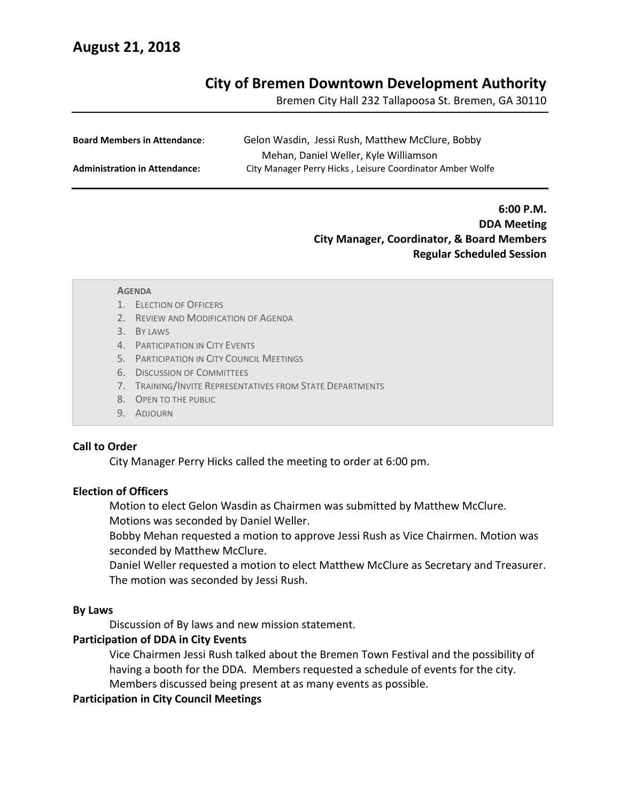# **August 21, 2018**

## **City of Bremen Downtown Development Authority**

Bremen City Hall 232 Tallapoosa St. Bremen, GA 30110

| <b>Board Members in Attendance:</b>  | Gelon Wasdin, Jessi Rush, Matthew McClure, Bobby          |
|--------------------------------------|-----------------------------------------------------------|
|                                      | Mehan, Daniel Weller, Kyle Williamson                     |
| <b>Administration in Attendance:</b> | City Manager Perry Hicks, Leisure Coordinator Amber Wolfe |

**6:00 P.M. DDA Meeting City Manager, Coordinator, & Board Members Regular Scheduled Session**

#### **AGENDA**

- 1. ELECTION OF OFFICERS
- 2. REVIEW AND MODIFICATION OF AGENDA
- 3. BY LAWS
- 4. PARTICIPATION IN CITY EVENTS
- 5. PARTICIPATION IN CITY COUNCIL MEETINGS
- 6. DISCUSSION OF COMMITTEES
- 7. TRAINING/INVITE REPRESENTATIVES FROM STATE DEPARTMENTS
- 8. OPEN TO THE PUBLIC
- 9. ADJOURN

#### **Call to Order**

City Manager Perry Hicks called the meeting to order at 6:00 pm.

#### **Election of Officers**

Motion to elect Gelon Wasdin as Chairmen was submitted by Matthew McClure.

Motions was seconded by Daniel Weller.

Bobby Mehan requested a motion to approve Jessi Rush as Vice Chairmen. Motion was seconded by Matthew McClure.

Daniel Weller requested a motion to elect Matthew McClure as Secretary and Treasurer. The motion was seconded by Jessi Rush.

#### **By Laws**

Discussion of By laws and new mission statement.

#### **Participation of DDA in City Events**

Vice Chairmen Jessi Rush talked about the Bremen Town Festival and the possibility of having a booth for the DDA. Members requested a schedule of events for the city.

Members discussed being present at as many events as possible.

### **Participation in City Council Meetings**